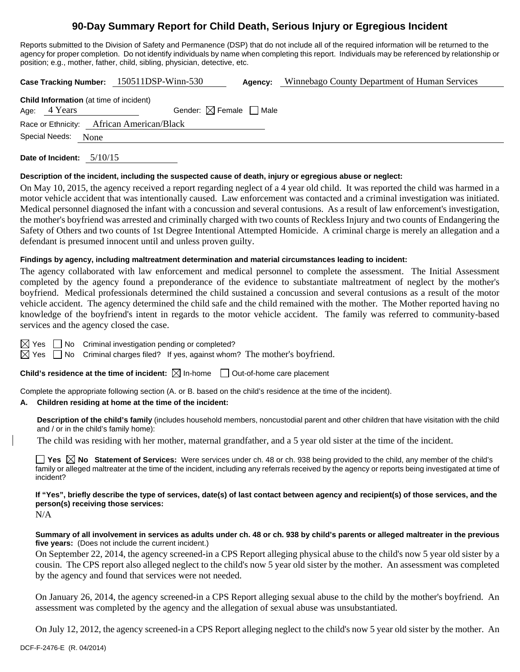# **90-Day Summary Report for Child Death, Serious Injury or Egregious Incident**

Reports submitted to the Division of Safety and Permanence (DSP) that do not include all of the required information will be returned to the agency for proper completion. Do not identify individuals by name when completing this report. Individuals may be referenced by relationship or position; e.g., mother, father, child, sibling, physician, detective, etc.

**Case Tracking Number:** 150511DSP-Winn-530 **Agency:** Winnebago County Department of Human Services

| <b>Child Information</b> (at time of incident) |              |                                        |  |  |  |
|------------------------------------------------|--------------|----------------------------------------|--|--|--|
|                                                | Age: 4 Years | Gender: $\boxtimes$ Female $\Box$ Male |  |  |  |
| Race or Ethnicity: African American/Black      |              |                                        |  |  |  |
| Special Needs:<br>None                         |              |                                        |  |  |  |

**Date of Incident:** 5/10/15

#### **Description of the incident, including the suspected cause of death, injury or egregious abuse or neglect:**

On May 10, 2015, the agency received a report regarding neglect of a 4 year old child. It was reported the child was harmed in a motor vehicle accident that was intentionally caused. Law enforcement was contacted and a criminal investigation was initiated. Medical personnel diagnosed the infant with a concussion and several contusions. As a result of law enforcement's investigation, the mother's boyfriend was arrested and criminally charged with two counts of Reckless Injury and two counts of Endangering the Safety of Others and two counts of 1st Degree Intentional Attempted Homicide. A criminal charge is merely an allegation and a defendant is presumed innocent until and unless proven guilty.

### **Findings by agency, including maltreatment determination and material circumstances leading to incident:**

The agency collaborated with law enforcement and medical personnel to complete the assessment. The Initial Assessment completed by the agency found a preponderance of the evidence to substantiate maltreatment of neglect by the mother's boyfriend. Medical professionals determined the child sustained a concussion and several contusions as a result of the motor vehicle accident. The agency determined the child safe and the child remained with the mother. The Mother reported having no knowledge of the boyfriend's intent in regards to the motor vehicle accident. The family was referred to community-based services and the agency closed the case.

 $\boxtimes$  Yes  $\Box$  No Criminal investigation pending or completed?

 $\boxtimes$  Yes  $\Box$  No Criminal charges filed? If yes, against whom? The mother's boyfriend.

**Child's residence at the time of incident:**  $\boxtimes$  In-home  $\Box$  Out-of-home care placement

Complete the appropriate following section (A. or B. based on the child's residence at the time of the incident).

# **A. Children residing at home at the time of the incident:**

**Description of the child's family** (includes household members, noncustodial parent and other children that have visitation with the child and / or in the child's family home):

The child was residing with her mother, maternal grandfather, and a 5 year old sister at the time of the incident.

**Yes**  $\boxtimes$  **No** Statement of Services: Were services under ch. 48 or ch. 938 being provided to the child, any member of the child's family or alleged maltreater at the time of the incident, including any referrals received by the agency or reports being investigated at time of incident?

**If "Yes", briefly describe the type of services, date(s) of last contact between agency and recipient(s) of those services, and the person(s) receiving those services:** 

N/A

**Summary of all involvement in services as adults under ch. 48 or ch. 938 by child's parents or alleged maltreater in the previous five years:** (Does not include the current incident.)

On September 22, 2014, the agency screened-in a CPS Report alleging physical abuse to the child's now 5 year old sister by a cousin. The CPS report also alleged neglect to the child's now 5 year old sister by the mother. An assessment was completed by the agency and found that services were not needed.

On January 26, 2014, the agency screened-in a CPS Report alleging sexual abuse to the child by the mother's boyfriend. An assessment was completed by the agency and the allegation of sexual abuse was unsubstantiated.

On July 12, 2012, the agency screened-in a CPS Report alleging neglect to the child's now 5 year old sister by the mother. An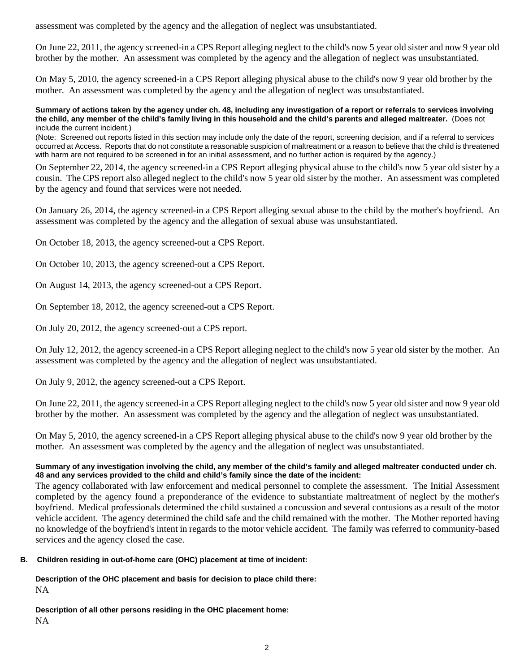assessment was completed by the agency and the allegation of neglect was unsubstantiated.

On June 22, 2011, the agency screened-in a CPS Report alleging neglect to the child's now 5 year old sister and now 9 year old brother by the mother. An assessment was completed by the agency and the allegation of neglect was unsubstantiated.

On May 5, 2010, the agency screened-in a CPS Report alleging physical abuse to the child's now 9 year old brother by the mother. An assessment was completed by the agency and the allegation of neglect was unsubstantiated.

**Summary of actions taken by the agency under ch. 48, including any investigation of a report or referrals to services involving the child, any member of the child's family living in this household and the child's parents and alleged maltreater.** (Does not include the current incident.)

(Note: Screened out reports listed in this section may include only the date of the report, screening decision, and if a referral to services occurred at Access. Reports that do not constitute a reasonable suspicion of maltreatment or a reason to believe that the child is threatened with harm are not required to be screened in for an initial assessment, and no further action is required by the agency.)

On September 22, 2014, the agency screened-in a CPS Report alleging physical abuse to the child's now 5 year old sister by a cousin. The CPS report also alleged neglect to the child's now 5 year old sister by the mother. An assessment was completed by the agency and found that services were not needed.

On January 26, 2014, the agency screened-in a CPS Report alleging sexual abuse to the child by the mother's boyfriend. An assessment was completed by the agency and the allegation of sexual abuse was unsubstantiated.

On October 18, 2013, the agency screened-out a CPS Report.

On October 10, 2013, the agency screened-out a CPS Report.

On August 14, 2013, the agency screened-out a CPS Report.

On September 18, 2012, the agency screened-out a CPS Report.

On July 20, 2012, the agency screened-out a CPS report.

On July 12, 2012, the agency screened-in a CPS Report alleging neglect to the child's now 5 year old sister by the mother. An assessment was completed by the agency and the allegation of neglect was unsubstantiated.

On July 9, 2012, the agency screened-out a CPS Report.

On June 22, 2011, the agency screened-in a CPS Report alleging neglect to the child's now 5 year old sister and now 9 year old brother by the mother. An assessment was completed by the agency and the allegation of neglect was unsubstantiated.

On May 5, 2010, the agency screened-in a CPS Report alleging physical abuse to the child's now 9 year old brother by the mother. An assessment was completed by the agency and the allegation of neglect was unsubstantiated.

### **Summary of any investigation involving the child, any member of the child's family and alleged maltreater conducted under ch. 48 and any services provided to the child and child's family since the date of the incident:**

The agency collaborated with law enforcement and medical personnel to complete the assessment. The Initial Assessment completed by the agency found a preponderance of the evidence to substantiate maltreatment of neglect by the mother's boyfriend. Medical professionals determined the child sustained a concussion and several contusions as a result of the motor vehicle accident. The agency determined the child safe and the child remained with the mother. The Mother reported having no knowledge of the boyfriend's intent in regards to the motor vehicle accident. The family was referred to community-based services and the agency closed the case.

# **B. Children residing in out-of-home care (OHC) placement at time of incident:**

**Description of the OHC placement and basis for decision to place child there:** NA

**Description of all other persons residing in the OHC placement home:** NA